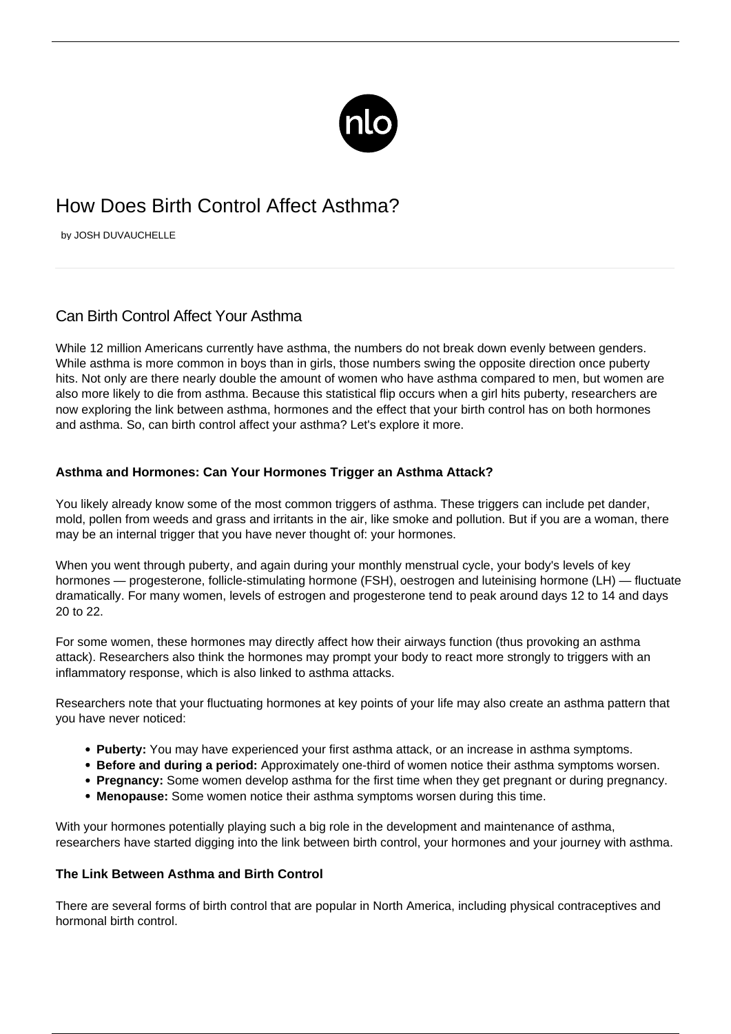

# How Does Birth Control Affect Asthma?

by JOSH DUVAUCHELLE

## Can Birth Control Affect Your Asthma

While 12 million Americans currently have asthma, the numbers do not break down evenly between genders. While asthma is more common in boys than in girls, those numbers swing the opposite direction once puberty hits. Not only are there nearly double the amount of women who have asthma compared to men, but women are also more likely to die from asthma. Because this statistical flip occurs when a girl hits puberty, researchers are now exploring the link between asthma, hormones and the effect that your birth control has on both hormones and asthma. So, can birth control affect your asthma? Let's explore it more.

### **Asthma and Hormones: Can Your Hormones Trigger an Asthma Attack?**

You likely already know some of the most common [triggers of asthma](/asthma-triggers/). These triggers can include pet dander, mold, pollen from weeds and grass and irritants in the air, like smoke and pollution. But if you are a woman, there may be an internal trigger that you have never thought of: your hormones.

When you went through puberty, and again during your monthly menstrual cycle, your body's levels of key hormones — progesterone, follicle-stimulating hormone (FSH), oestrogen and luteinising hormone (LH) — fluctuate dramatically. For many women, levels of estrogen and progesterone tend to peak around days 12 to 14 and days 20 to 22.

For some women, these hormones may directly affect how their airways function (thus provoking an asthma attack). Researchers also think the hormones may prompt your body to react more strongly to triggers with an inflammatory response, which is also linked to [asthma attacks.](http://asthmahealth.today/blog/what-to-do-during-an-asthma-attack/)

Researchers note that your fluctuating hormones at key points of your life may also create an asthma pattern that you have never noticed:

- **Puberty:** You may have experienced your first asthma attack, or an increase in asthma symptoms.
- **Before and during a period:** Approximately one-third of women notice their asthma symptoms worsen.
- **Pregnancy:** Some women develop asthma for the first time when they get pregnant or during pregnancy.
- **Menopause:** Some women notice their asthma symptoms worsen during this time.

With your hormones potentially playing such a big role in the development and maintenance of asthma, researchers have started digging into the link between birth control, your hormones and your journey with asthma.

#### **The Link Between Asthma and Birth Control**

There are several forms of birth control that are popular in North America, including physical contraceptives and hormonal birth control.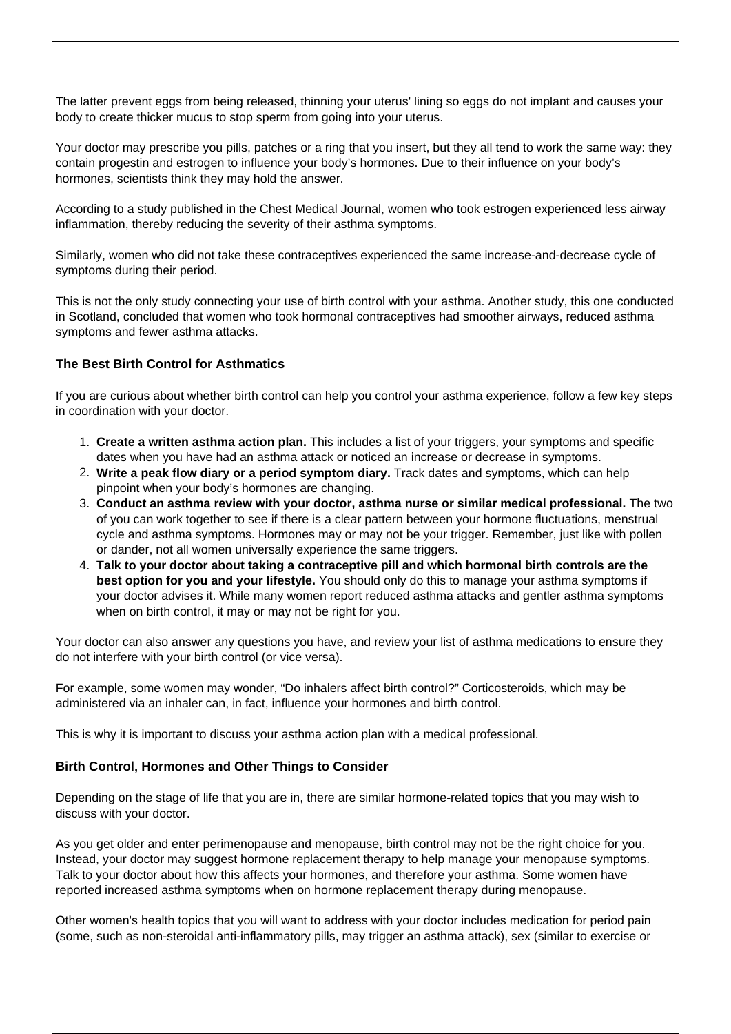The latter prevent eggs from being released, thinning your uterus' lining so eggs do not implant and causes your body to create thicker mucus to stop sperm from going into your uterus.

Your doctor may prescribe you pills, patches or a ring that you insert, but they all tend to work the same way: they contain progestin and estrogen to influence your body's hormones. Due to their influence on your body's hormones, scientists think they may hold the answer.

According to a study published in the Chest Medical Journal, women who took estrogen experienced less airway inflammation, thereby reducing the severity of their asthma symptoms.

Similarly, women who did not take these contraceptives experienced the same increase-and-decrease cycle of symptoms during their period.

This is not the only study connecting your use of birth control with your asthma. Another study, this one conducted in Scotland, concluded that women who took hormonal contraceptives had smoother airways, reduced asthma symptoms and fewer asthma attacks.

#### **The Best Birth Control for Asthmatics**

If you are curious about whether birth control can help you control your asthma experience, follow a few key steps in coordination with your doctor.

- 1. **Create a written asthma action plan.** This includes a list of your triggers, your symptoms and specific dates when you have had an asthma attack or noticed an increase or decrease in symptoms.
- 2. **Write a peak flow diary or a period symptom diary.** Track dates and symptoms, which can help pinpoint when your body's hormones are changing.
- 3. **Conduct an asthma review with your doctor, asthma nurse or similar medical professional.** The two of you can work together to see if there is a clear pattern between your hormone fluctuations, menstrual cycle and asthma symptoms. Hormones may or may not be your trigger. Remember, just like with pollen or dander, not all women universally experience the same triggers.
- 4. **Talk to your doctor about taking a contraceptive pill and which hormonal birth controls are the best option for you and your lifestyle.** You should only do this to manage your asthma symptoms if your doctor advises it. While many women report reduced asthma attacks and gentler asthma symptoms when on birth control, it may or may not be right for you.

Your doctor can also answer any questions you have, and review your list of asthma medications to ensure they do not interfere with your birth control (or vice versa).

For example, some women may wonder, "Do inhalers affect birth control?" Corticosteroids, which may be administered via an inhaler can, in fact, influence your hormones and birth control.

This is why it is important to discuss your asthma action plan with a medical professional.

#### **Birth Control, Hormones and Other Things to Consider**

Depending on the stage of life that you are in, there are similar hormone-related topics that you may wish to discuss with your doctor.

As you get older and enter perimenopause and menopause, birth control may not be the right choice for you. Instead, your doctor may suggest [hormone replacement therapy to help manage your menopause symptoms.](https://menopause.newlifeoutlook.com/hormone-therapy/) Talk to your doctor about how this affects your hormones, and therefore your asthma. Some women have reported increased asthma symptoms when on hormone replacement therapy during menopause.

Other women's health topics that you will want to address with your doctor includes medication for period pain (some, such as non-steroidal anti-inflammatory pills, may trigger an asthma attack), sex (similar to exercise or